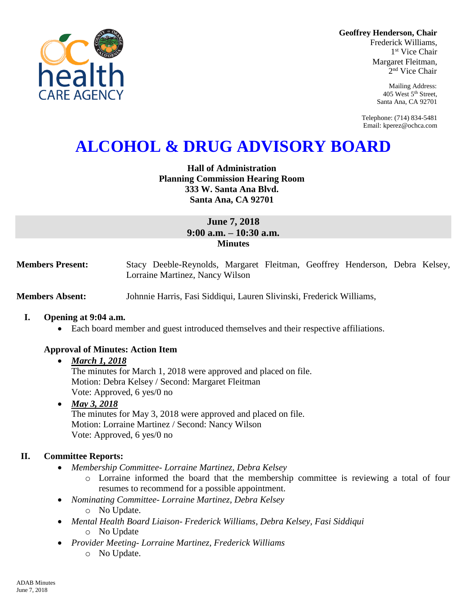**Geoffrey Henderson, Chair**

Frederick Williams, 1 st Vice Chair Margaret Fleitman, 2 nd Vice Chair

> Mailing Address: 405 West 5th Street, Santa Ana, CA 92701

Telephone: (714) 834-5481 Email: kperez@ochca.com

# **ALCOHOL & DRUG ADVISORY BOARD**

# **Hall of Administration Planning Commission Hearing Room 333 W. Santa Ana Blvd. Santa Ana, CA 92701**

# **June 7, 2018 9:00 a.m. – 10:30 a.m. Minutes**

**Members Present:** Stacy Deeble-Reynolds, Margaret Fleitman, Geoffrey Henderson, Debra Kelsey, Lorraine Martinez, Nancy Wilson

**Members Absent:** Johnnie Harris, Fasi Siddiqui, Lauren Slivinski, Frederick Williams,

#### **I. Opening at 9:04 a.m.**

Each board member and guest introduced themselves and their respective affiliations.

# **Approval of Minutes: Action Item**

# *March 1, 2018*

The minutes for March 1, 2018 were approved and placed on file. Motion: Debra Kelsey / Second: Margaret Fleitman Vote: Approved, 6 yes/0 no

 *May 3, 2018*  The minutes for May 3, 2018 were approved and placed on file. Motion: Lorraine Martinez / Second: Nancy Wilson Vote: Approved, 6 yes/0 no

# **II. Committee Reports:**

- *Membership Committee- Lorraine Martinez, Debra Kelsey* 
	- o Lorraine informed the board that the membership committee is reviewing a total of four resumes to recommend for a possible appointment.
- *Nominating Committee- Lorraine Martinez, Debra Kelsey*
	- o No Update.
- *Mental Health Board Liaison- Frederick Williams, Debra Kelsey, Fasi Siddiqui* o No Update
- *Provider Meeting- Lorraine Martinez, Frederick Williams*
	- o No Update.

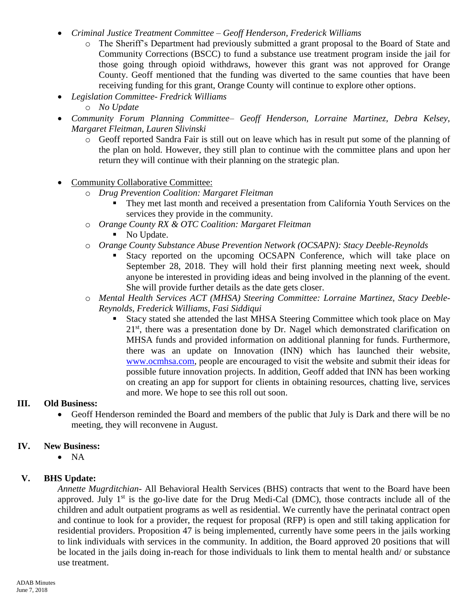- *Criminal Justice Treatment Committee – Geoff Henderson, Frederick Williams*
	- o The Sheriff's Department had previously submitted a grant proposal to the Board of State and Community Corrections (BSCC) to fund a substance use treatment program inside the jail for those going through opioid withdraws, however this grant was not approved for Orange County. Geoff mentioned that the funding was diverted to the same counties that have been receiving funding for this grant, Orange County will continue to explore other options.
- *Legislation Committee- Fredrick Williams*
	- o *No Update*
- *Community Forum Planning Committee– Geoff Henderson, Lorraine Martinez, Debra Kelsey, Margaret Fleitman, Lauren Slivinski*
	- o Geoff reported Sandra Fair is still out on leave which has in result put some of the planning of the plan on hold. However, they still plan to continue with the committee plans and upon her return they will continue with their planning on the strategic plan.
- Community Collaborative Committee:
	- o *Drug Prevention Coalition: Margaret Fleitman*
		- They met last month and received a presentation from California Youth Services on the services they provide in the community.
	- o *Orange County RX & OTC Coalition: Margaret Fleitman*
		- No Update.
	- o *Orange County Substance Abuse Prevention Network (OCSAPN): Stacy Deeble-Reynolds*
		- Stacy reported on the upcoming OCSAPN Conference, which will take place on September 28, 2018. They will hold their first planning meeting next week, should anyone be interested in providing ideas and being involved in the planning of the event. She will provide further details as the date gets closer.
	- o *Mental Health Services ACT (MHSA) Steering Committee: Lorraine Martinez, Stacy Deeble-Reynolds, Frederick Williams, Fasi Siddiqui*
		- Stacy stated she attended the last MHSA Steering Committee which took place on May 21<sup>st</sup>, there was a presentation done by Dr. Nagel which demonstrated clarification on MHSA funds and provided information on additional planning for funds. Furthermore, there was an update on Innovation (INN) which has launched their website, [www.ocmhsa.com,](http://www.ocmhsa.com/) people are encouraged to visit the website and submit their ideas for possible future innovation projects. In addition, Geoff added that INN has been working on creating an app for support for clients in obtaining resources, chatting live, services and more. We hope to see this roll out soon.

# **III. Old Business:**

 Geoff Henderson reminded the Board and members of the public that July is Dark and there will be no meeting, they will reconvene in August.

# **IV. New Business:**

 $\bullet$  NA

# **V. BHS Update:**

*Annette Mugrditchian-* All Behavioral Health Services (BHS) contracts that went to the Board have been approved. July  $1<sup>st</sup>$  is the go-live date for the Drug Medi-Cal (DMC), those contracts include all of the children and adult outpatient programs as well as residential. We currently have the perinatal contract open and continue to look for a provider, the request for proposal (RFP) is open and still taking application for residential providers. Proposition 47 is being implemented, currently have some peers in the jails working to link individuals with services in the community. In addition, the Board approved 20 positions that will be located in the jails doing in-reach for those individuals to link them to mental health and/ or substance use treatment.